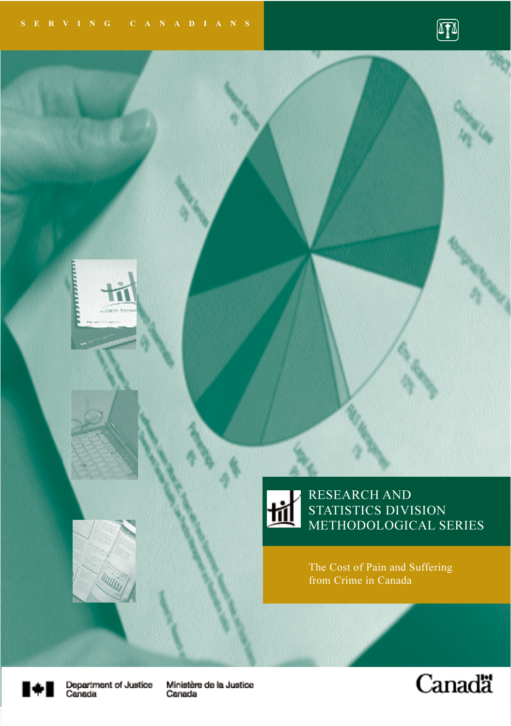



#### RESEARCH AND STATISTICS DIVISION METHODOLOGICAL SERIES

The Cost of Pain and Suffering from Crime in Canada



Department of Justice<br>Canada

Ministère de la Justice Canada

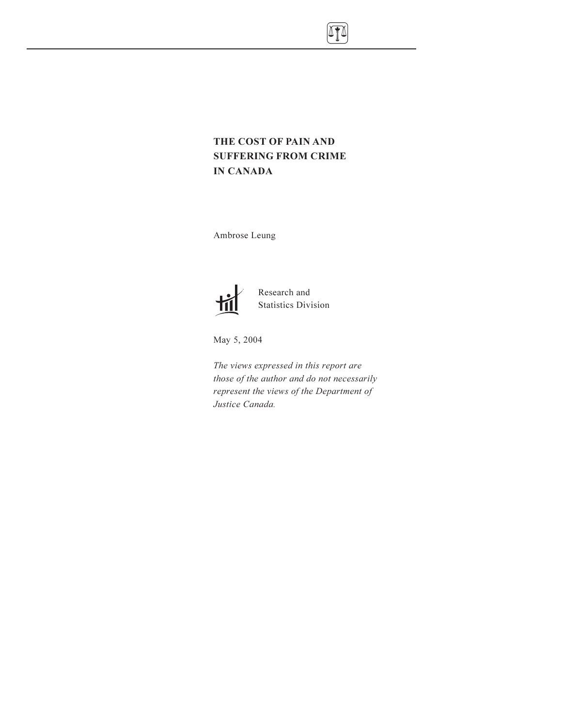

### THE COST OF PAIN AND SUFFERING FROM CRIME IN CANADA

Ambrose Leung



Research and Statistics Division

May 5, 2004

The views expressed in this report are those of the author and do not necessarily represent the views of the Department of Justice Canada.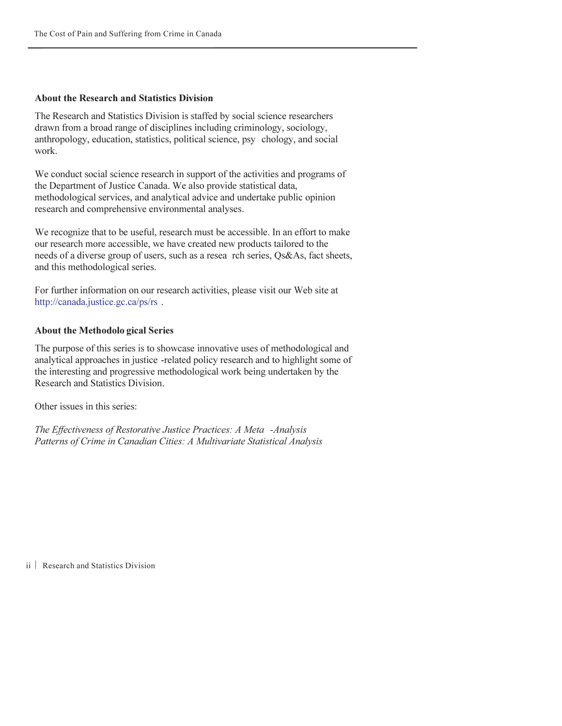#### About the Research and Statistics Division

The Research and Statistics Division is staffed by social science researchers drawn from a broad range of disciplines including criminology, sociology, anthropology, education, statistics, political science, psy chology, and social work.

We conduct social science research in support of the activities and programs of the Department of Justice Canada. We also provide statistical data, methodological services, and analytical advice and undertake public opinion research and comprehensive environmental analyses.

We recognize that to be useful, research must be accessible. In an effort to make our research more accessible, we have created new products tailored to the needs of a diverse group of users, such as a resea rch series, Qs&As, fact sheets, and this methodological series.

For further information on our research activities, please visit our Web site at http://canada.justice.gc.ca/ps/rs .

#### About the Methodolo gical Series

The purpose of this series is to showcase innovative uses of methodological and analytical approaches in justice -related policy research and to highlight some of the interesting and progressive methodological work being undertaken by the Research and Statistics Division.

Other issues in this series:

The Effectiveness of Restorative Justice Practices: A Meta -Analysis Patterns of Crime in Canadian Cities: A Multivariate Statistical Analysis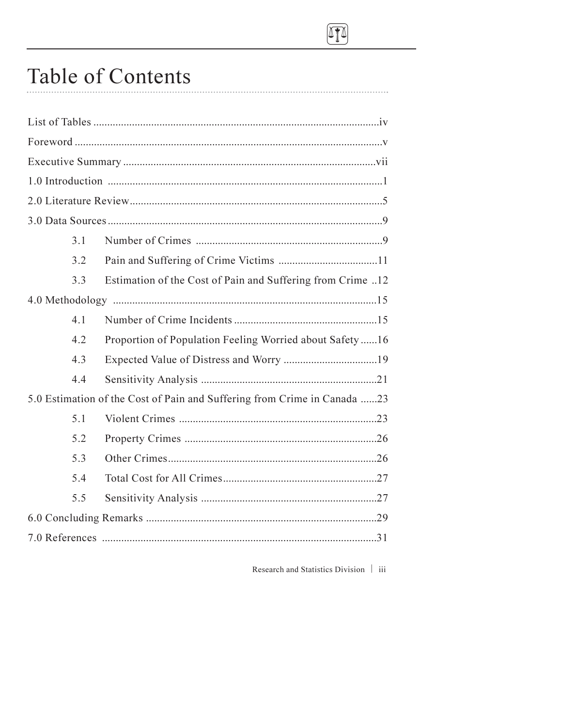

## Table of Contents

| 3.1                                                                      |                                                            |  |  |  |
|--------------------------------------------------------------------------|------------------------------------------------------------|--|--|--|
| 3.2                                                                      |                                                            |  |  |  |
| 3.3                                                                      | Estimation of the Cost of Pain and Suffering from Crime 12 |  |  |  |
|                                                                          |                                                            |  |  |  |
| 4.1                                                                      |                                                            |  |  |  |
| 4.2                                                                      | Proportion of Population Feeling Worried about Safety 16   |  |  |  |
| 4.3                                                                      |                                                            |  |  |  |
| 4.4                                                                      |                                                            |  |  |  |
| 5.0 Estimation of the Cost of Pain and Suffering from Crime in Canada 23 |                                                            |  |  |  |
| 5.1                                                                      |                                                            |  |  |  |
| 5.2                                                                      |                                                            |  |  |  |
| 5.3                                                                      |                                                            |  |  |  |
| 5.4                                                                      |                                                            |  |  |  |
| 5.5                                                                      |                                                            |  |  |  |
|                                                                          |                                                            |  |  |  |
|                                                                          |                                                            |  |  |  |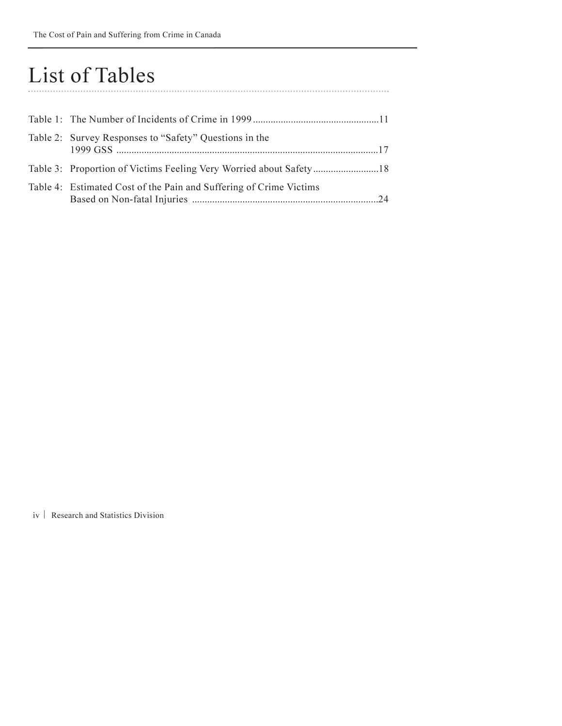### List of Tables

| Table 2: Survey Responses to "Safety" Questions in the             |  |
|--------------------------------------------------------------------|--|
|                                                                    |  |
| Table 4: Estimated Cost of the Pain and Suffering of Crime Victims |  |

<span id="page-4-0"></span>

iv | Research and Statistics Division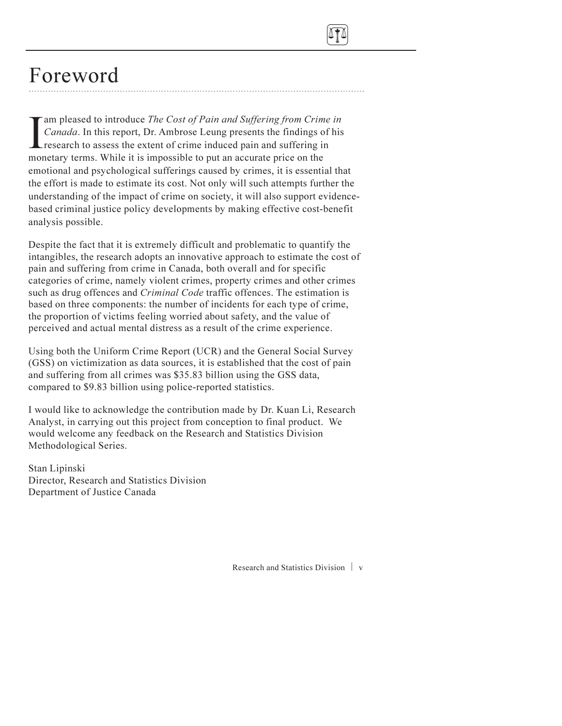<span id="page-5-0"></span>

### Foreword

I am pleased to introduce *The Cost of Pain and Suffering from Crin*<br>Canada. In this report, Dr. Ambrose Leung presents the findings c<br>research to assess the extent of crime induced pain and suffering i<br>monetary terms. Whi am pleased to introduce The Cost of Pain and Suffering from Crime in Canada. In this report, Dr. Ambrose Leung presents the findings of his research to assess the extent of crime induced pain and suffering in emotional and psychological sufferings caused by crimes, it is essential that the effort is made to estimate its cost. Not only will such attempts further the understanding of the impact of crime on society, it will also support evidencebased criminal justice policy developments by making effective cost-benefit analysis possible.

Despite the fact that it is extremely difficult and problematic to quantify the intangibles, the research adopts an innovative approach to estimate the cost of pain and suffering from crime in Canada, both overall and for specific categories of crime, namely violent crimes, property crimes and other crimes such as drug offences and *Criminal Code* traffic offences. The estimation is based on three components: the number of incidents for each type of crime, the proportion of victims feeling worried about safety, and the value of perceived and actual mental distress as a result of the crime experience.

Using both the Uniform Crime Report (UCR) and the General Social Survey (GSS) on victimization as data sources, it is established that the cost of pain and suffering from all crimes was \$35.83 billion using the GSS data, compared to \$9.83 billion using police-reported statistics.

I would like to acknowledge the contribution made by Dr. Kuan Li, Research Analyst, in carrying out this project from conception to final product. We would welcome any feedback on the Research and Statistics Division Methodological Series.

Stan Lipinski Director, Research and Statistics Division Department of Justice Canada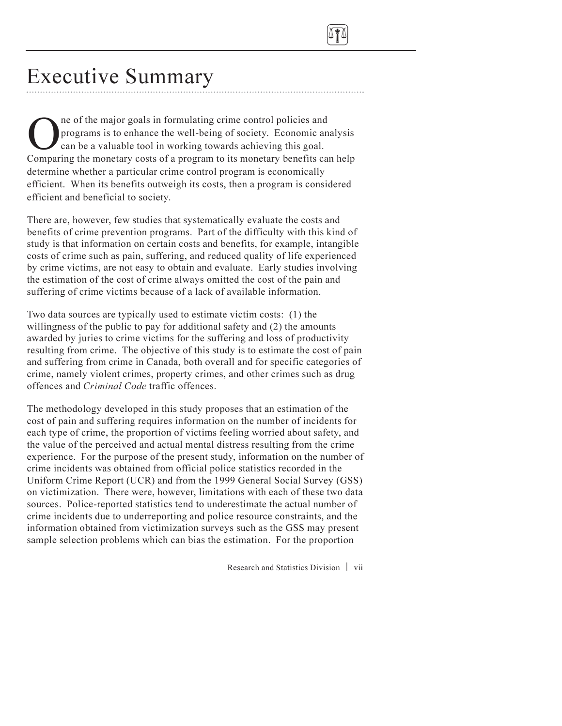

## Executive Summary

One of the major goals in formulating crime control policies and<br>programs is to enhance the well-being of society. Economic are<br>can be a valuable tool in working towards achieving this goal.<br>Comparing the monetary costs of programs is to enhance the well-being of society. Economic analysis can be a valuable tool in working towards achieving this goal. Comparing the monetary costs of a program to its monetary benefits can help determine whether a particular crime control program is economically efficient. When its benefits outweigh its costs, then a program is considered efficient and beneficial to society.

There are, however, few studies that systematically evaluate the costs and benefits of crime prevention programs. Part of the difficulty with this kind of study is that information on certain costs and benefits, for example, intangible costs of crime such as pain, suffering, and reduced quality of life experienced by crime victims, are not easy to obtain and evaluate. Early studies involving the estimation of the cost of crime always omitted the cost of the pain and suffering of crime victims because of a lack of available information.

Two data sources are typically used to estimate victim costs: (1) the willingness of the public to pay for additional safety and (2) the amounts awarded by juries to crime victims for the suffering and loss of productivity resulting from crime. The objective of this study is to estimate the cost of pain and suffering from crime in Canada, both overall and for specific categories of crime, namely violent crimes, property crimes, and other crimes such as drug offences and Criminal Code traffic offences.

The methodology developed in this study proposes that an estimation of the cost of pain and suffering requires information on the number of incidents for each type of crime, the proportion of victims feeling worried about safety, and the value of the perceived and actual mental distress resulting from the crime experience. For the purpose of the present study, information on the number of crime incidents was obtained from official police statistics recorded in the Uniform Crime Report (UCR) and from the 1999 General Social Survey (GSS) on victimization. There were, however, limitations with each of these two data sources. Police-reported statistics tend to underestimate the actual number of crime incidents due to underreporting and police resource constraints, and the information obtained from victimization surveys such as the GSS may present sample selection problems which can bias the estimation. For the proportion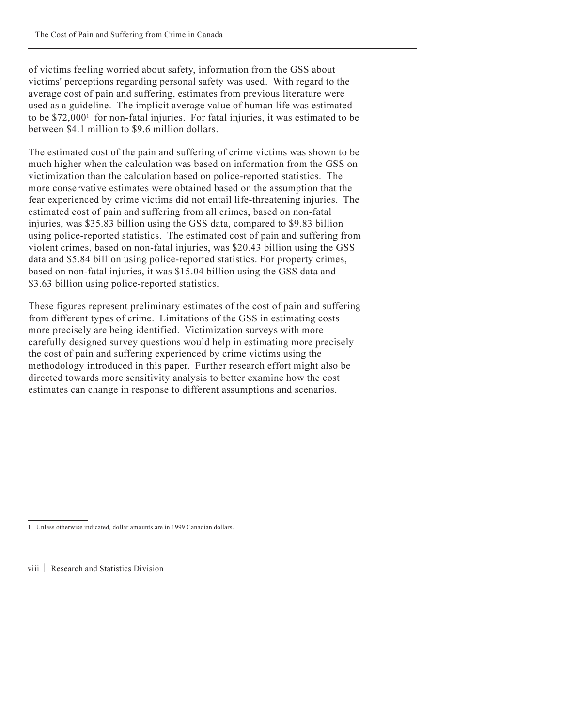<span id="page-7-0"></span>of victims feeling worried about safety, information from the GSS about victims' perceptions regarding personal safety was used. With regard to the average cost of pain and suffering, estimates from previous literature were used as a guideline. The implicit average value of human life was estimated to be  $$72,000<sup>1</sup>$  for non-fatal injuries. For fatal injuries, it was estimated to be between \$4.1 million to \$9.6 million dollars.

The estimated cost of the pain and suffering of crime victims was shown to be much higher when the calculation was based on information from the GSS on victimization than the calculation based on police-reported statistics. The more conservative estimates were obtained based on the assumption that the fear experienced by crime victims did not entail life-threatening injuries. The estimated cost of pain and suffering from all crimes, based on non-fatal injuries, was \$35.83 billion using the GSS data, compared to \$9.83 billion using police-reported statistics. The estimated cost of pain and suffering from violent crimes, based on non-fatal injuries, was \$20.43 billion using the GSS data and \$5.84 billion using police-reported statistics. For property crimes, based on non-fatal injuries, it was \$15.04 billion using the GSS data and \$3.63 billion using police-reported statistics.

These figures represent preliminary estimates of the cost of pain and suffering from different types of crime. Limitations of the GSS in estimating costs more precisely are being identified. Victimization surveys with more carefully designed survey questions would help in estimating more precisely the cost of pain and suffering experienced by crime victims using the methodology introduced in this paper. Further research effort might also be directed towards more sensitivity analysis to better examine how the cost estimates can change in response to different assumptions and scenarios.

<sup>1</sup> Unless otherwise indicated, dollar amounts are in 1999 Canadian dollars.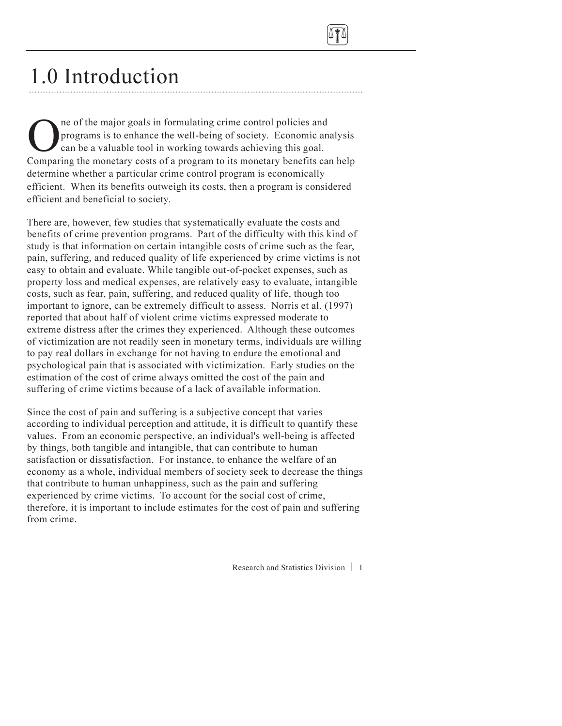

# 1.0 Introduction

One of the major goals in formulating crime control policies and<br>programs is to enhance the well-being of society. Economic are<br>can be a valuable tool in working towards achieving this goal.<br>Comparing the monetary costs of programs is to enhance the well-being of society. Economic analysis can be a valuable tool in working towards achieving this goal. Comparing the monetary costs of a program to its monetary benefits can help determine whether a particular crime control program is economically efficient. When its benefits outweigh its costs, then a program is considered efficient and beneficial to society.

There are, however, few studies that systematically evaluate the costs and benefits of crime prevention programs. Part of the difficulty with this kind of study is that information on certain intangible costs of crime such as the fear, pain, suffering, and reduced quality of life experienced by crime victims is not easy to obtain and evaluate. While tangible out-of-pocket expenses, such as property loss and medical expenses, are relatively easy to evaluate, intangible costs, such as fear, pain, suffering, and reduced quality of life, though too important to ignore, can be extremely difficult to assess. Norris et al. (1997) reported that about half of violent crime victims expressed moderate to extreme distress after the crimes they experienced. Although these outcomes of victimization are not readily seen in monetary terms, individuals are willing to pay real dollars in exchange for not having to endure the emotional and psychological pain that is associated with victimization. Early studies on the estimation of the cost of crime always omitted the cost of the pain and suffering of crime victims because of a lack of available information.

Since the cost of pain and suffering is a subjective concept that varies according to individual perception and attitude, it is difficult to quantify these values. From an economic perspective, an individual's well-being is affected by things, both tangible and intangible, that can contribute to human satisfaction or dissatisfaction. For instance, to enhance the welfare of an economy as a whole, individual members of society seek to decrease the things that contribute to human unhappiness, such as the pain and suffering experienced by crime victims. To account for the social cost of crime, therefore, it is important to include estimates for the cost of pain and suffering from crime.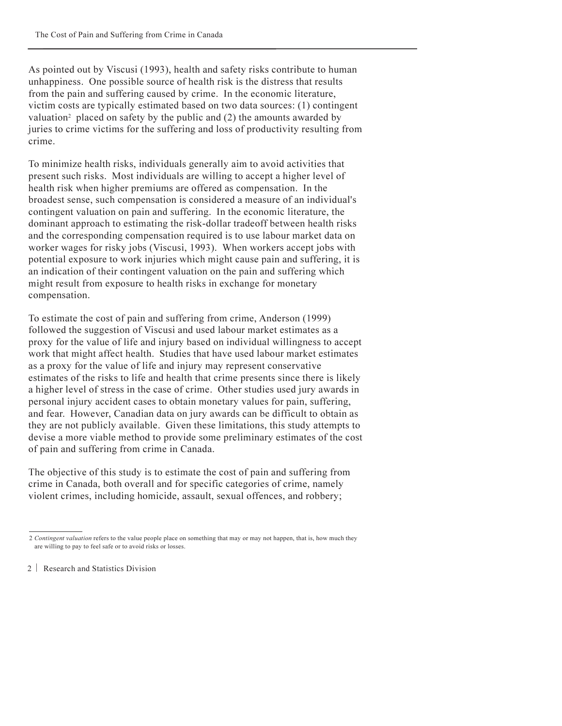<span id="page-9-0"></span>As pointed out by Viscusi (1993), health and safety risks contribute to human unhappiness. One possible source of health risk is the distress that results from the pain and suffering caused by crime. In the economic literature, victim costs are typically estimated based on two data sources: (1) contingent valuation<sup>2</sup> placed on safety by the public and  $(2)$  the amounts awarded by juries to crime victims for the suffering and loss of productivity resulting from crime.

To minimize health risks, individuals generally aim to avoid activities that present such risks. Most individuals are willing to accept a higher level of health risk when higher premiums are offered as compensation. In the broadest sense, such compensation is considered a measure of an individual's contingent valuation on pain and suffering. In the economic literature, the dominant approach to estimating the risk-dollar tradeoff between health risks and the corresponding compensation required is to use labour market data on worker wages for risky jobs (Viscusi, 1993). When workers accept jobs with potential exposure to work injuries which might cause pain and suffering, it is an indication of their contingent valuation on the pain and suffering which might result from exposure to health risks in exchange for monetary compensation.

To estimate the cost of pain and suffering from crime, Anderson (1999) followed the suggestion of Viscusi and used labour market estimates as a proxy for the value of life and injury based on individual willingness to accept work that might affect health. Studies that have used labour market estimates as a proxy for the value of life and injury may represent conservative estimates of the risks to life and health that crime presents since there is likely a higher level of stress in the case of crime. Other studies used jury awards in personal injury accident cases to obtain monetary values for pain, suffering, and fear. However, Canadian data on jury awards can be difficult to obtain as they are not publicly available. Given these limitations, this study attempts to devise a more viable method to provide some preliminary estimates of the cost of pain and suffering from crime in Canada.

The objective of this study is to estimate the cost of pain and suffering from crime in Canada, both overall and for specific categories of crime, namely violent crimes, including homicide, assault, sexual offences, and robbery;

<sup>2</sup> Contingent valuation refers to the value people place on something that may or may not happen, that is, how much they are willing to pay to feel safe or to avoid risks or losses.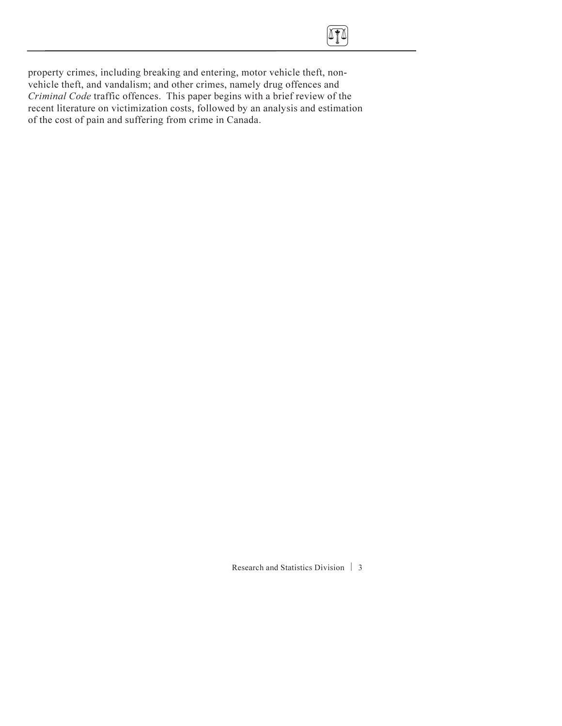

property crimes, including breaking and entering, motor vehicle theft, nonvehicle theft, and vandalism; and other crimes, namely drug offences and Criminal Code traffic offences. This paper begins with a brief review of the recent literature on victimization costs, followed by an analysis and estimation of the cost of pain and suffering from crime in Canada.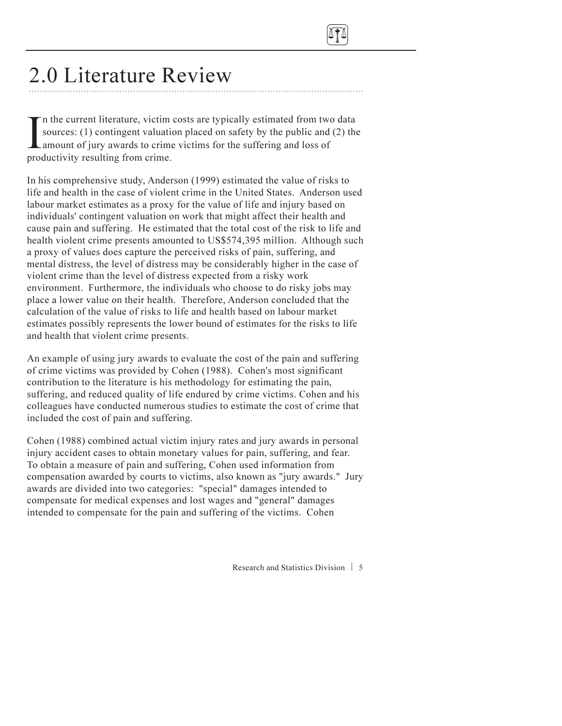

## 2.0 Literature Review

In the current literature, victim<br>sources: (1) contingent valuati<br>amount of jury awards to crim-<br>productivity resulting from crime. n the current literature, victim costs are typically estimated from two data sources: (1) contingent valuation placed on safety by the public and (2) the amount of jury awards to crime victims for the suffering and loss of

In his comprehensive study, Anderson (1999) estimated the value of risks to life and health in the case of violent crime in the United States. Anderson used labour market estimates as a proxy for the value of life and injury based on individuals' contingent valuation on work that might affect their health and cause pain and suffering. He estimated that the total cost of the risk to life and health violent crime presents amounted to US\$574,395 million. Although such a proxy of values does capture the perceived risks of pain, suffering, and mental distress, the level of distress may be considerably higher in the case of violent crime than the level of distress expected from a risky work environment. Furthermore, the individuals who choose to do risky jobs may place a lower value on their health. Therefore, Anderson concluded that the calculation of the value of risks to life and health based on labour market estimates possibly represents the lower bound of estimates for the risks to life and health that violent crime presents.

An example of using jury awards to evaluate the cost of the pain and suffering of crime victims was provided by Cohen (1988). Cohen's most significant contribution to the literature is his methodology for estimating the pain, suffering, and reduced quality of life endured by crime victims. Cohen and his colleagues have conducted numerous studies to estimate the cost of crime that included the cost of pain and suffering.

Cohen (1988) combined actual victim injury rates and jury awards in personal injury accident cases to obtain monetary values for pain, suffering, and fear. To obtain a measure of pain and suffering, Cohen used information from compensation awarded by courts to victims, also known as "jury awards." Jury awards are divided into two categories: "special" damages intended to compensate for medical expenses and lost wages and "general" damages intended to compensate for the pain and suffering of the victims. Cohen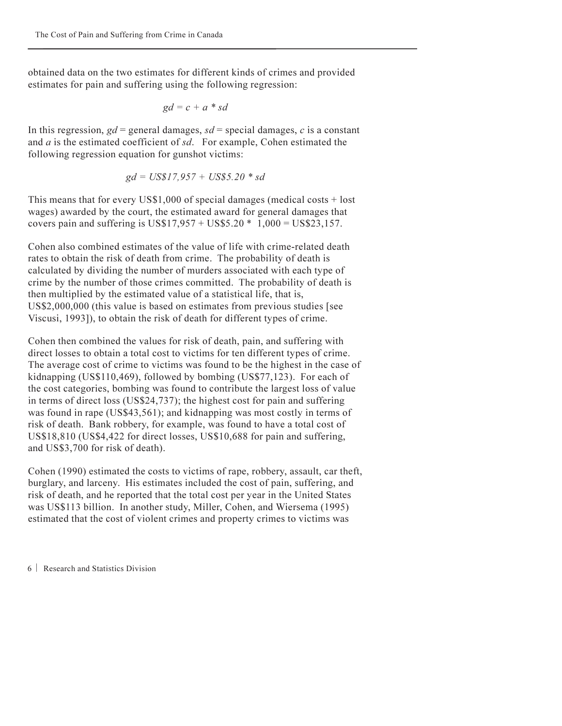obtained data on the two estimates for different kinds of crimes and provided estimates for pain and suffering using the following regression:

$$
gd = c + a * sd
$$

In this regression,  $gd$  = general damages,  $sd$  = special damages, c is a constant and a is the estimated coefficient of sd. For example, Cohen estimated the following regression equation for gunshot victims:

$$
gd = US$17,957 + US$5.20 * sd
$$

This means that for every US\$1,000 of special damages (medical costs + lost wages) awarded by the court, the estimated award for general damages that covers pain and suffering is US\$17,957 + US\$5.20  $*$  1,000 = US\$23,157.

Cohen also combined estimates of the value of life with crime-related death rates to obtain the risk of death from crime. The probability of death is calculated by dividing the number of murders associated with each type of crime by the number of those crimes committed. The probability of death is then multiplied by the estimated value of a statistical life, that is, US\$2,000,000 (this value is based on estimates from previous studies [see Viscusi, 1993]), to obtain the risk of death for different types of crime.

Cohen then combined the values for risk of death, pain, and suffering with direct losses to obtain a total cost to victims for ten different types of crime. The average cost of crime to victims was found to be the highest in the case of kidnapping (US\$110,469), followed by bombing (US\$77,123). For each of the cost categories, bombing was found to contribute the largest loss of value in terms of direct loss (US\$24,737); the highest cost for pain and suffering was found in rape (US\$43,561); and kidnapping was most costly in terms of risk of death. Bank robbery, for example, was found to have a total cost of US\$18,810 (US\$4,422 for direct losses, US\$10,688 for pain and suffering, and US\$3,700 for risk of death).

Cohen (1990) estimated the costs to victims of rape, robbery, assault, car theft, burglary, and larceny. His estimates included the cost of pain, suffering, and risk of death, and he reported that the total cost per year in the United States was US\$113 billion. In another study, Miller, Cohen, and Wiersema (1995) estimated that the cost of violent crimes and property crimes to victims was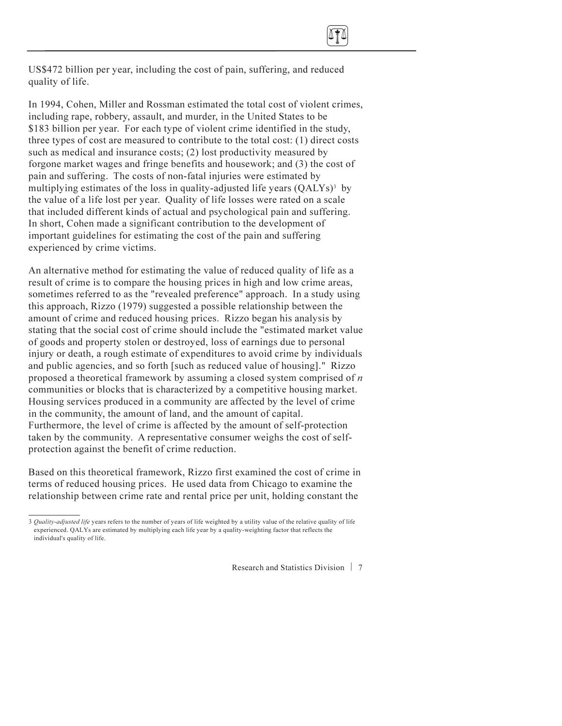<span id="page-13-0"></span>

US\$472 billion per year, including the cost of pain, suffering, and reduced quality of life.

In 1994, Cohen, Miller and Rossman estimated the total cost of violent crimes, including rape, robbery, assault, and murder, in the United States to be \$183 billion per year. For each type of violent crime identified in the study, three types of cost are measured to contribute to the total cost: (1) direct costs such as medical and insurance costs; (2) lost productivity measured by forgone market wages and fringe benefits and housework; and (3) the cost of pain and suffering. The costs of non-fatal injuries were estimated by multiplying estimates of the loss in quality-adjusted life years  $(OALYs)^3$  by the value of a life lost per year. Quality of life losses were rated on a scale that included different kinds of actual and psychological pain and suffering. In short, Cohen made a significant contribution to the development of important guidelines for estimating the cost of the pain and suffering experienced by crime victims.

An alternative method for estimating the value of reduced quality of life as a result of crime is to compare the housing prices in high and low crime areas, sometimes referred to as the "revealed preference" approach. In a study using this approach, Rizzo (1979) suggested a possible relationship between the amount of crime and reduced housing prices. Rizzo began his analysis by stating that the social cost of crime should include the "estimated market value of goods and property stolen or destroyed, loss of earnings due to personal injury or death, a rough estimate of expenditures to avoid crime by individuals and public agencies, and so forth [such as reduced value of housing]." Rizzo proposed a theoretical framework by assuming a closed system comprised of  $n$ communities or blocks that is characterized by a competitive housing market. Housing services produced in a community are affected by the level of crime in the community, the amount of land, and the amount of capital. Furthermore, the level of crime is affected by the amount of self-protection taken by the community. A representative consumer weighs the cost of selfprotection against the benefit of crime reduction.

Based on this theoretical framework, Rizzo first examined the cost of crime in terms of reduced housing prices. He used data from Chicago to examine the relationship between crime rate and rental price per unit, holding constant the

<sup>3</sup> Quality-adjusted life years refers to the number of years of life weighted by a utility value of the relative quality of life experienced. QALYs are estimated by multiplying each life year by a quality-weighting factor that reflects the individual's quality of life.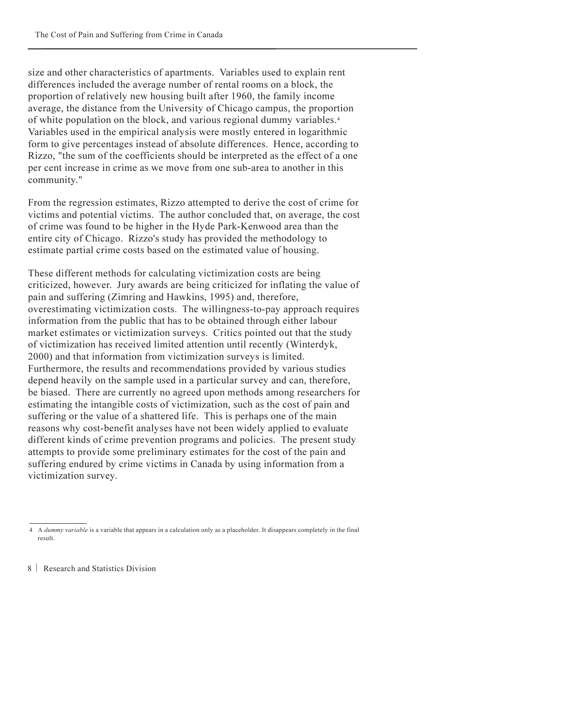size and other characteristics of apartments. Variables used to explain rent differences included the average number of rental rooms on a block, the proportion of relatively new housing built after 1960, the family income average, the distance from the University of Chicago campus, the proportion of white population on the block, and various regional dummy variables.4 Variables used in the empirical analysis were mostly entered in logarithmic form to give percentages instead of absolute differences. Hence, according to Rizzo, "the sum of the coefficients should be interpreted as the effect of a one per cent increase in crime as we move from one sub-area to another in this community."

From the regression estimates, Rizzo attempted to derive the cost of crime for victims and potential victims. The author concluded that, on average, the cost of crime was found to be higher in the Hyde Park-Kenwood area than the entire city of Chicago. Rizzo's study has provided the methodology to estimate partial crime costs based on the estimated value of housing.

These different methods for calculating victimization costs are being criticized, however. Jury awards are being criticized for inflating the value of pain and suffering (Zimring and Hawkins, 1995) and, therefore, overestimating victimization costs. The willingness-to-pay approach requires information from the public that has to be obtained through either labour market estimates or victimization surveys. Critics pointed out that the study of victimization has received limited attention until recently (Winterdyk, 2000) and that information from victimization surveys is limited. Furthermore, the results and recommendations provided by various studies depend heavily on the sample used in a particular survey and can, therefore, be biased. There are currently no agreed upon methods among researchers for estimating the intangible costs of victimization, such as the cost of pain and suffering or the value of a shattered life. This is perhaps one of the main reasons why cost-benefit analyses have not been widely applied to evaluate different kinds of crime prevention programs and policies. The present study attempts to provide some preliminary estimates for the cost of the pain and suffering endured by crime victims in Canada by using information from a victimization survey.

<sup>4</sup> A *dummy variable* is a variable that appears in a calculation only as a placeholder. It disappears completely in the final result.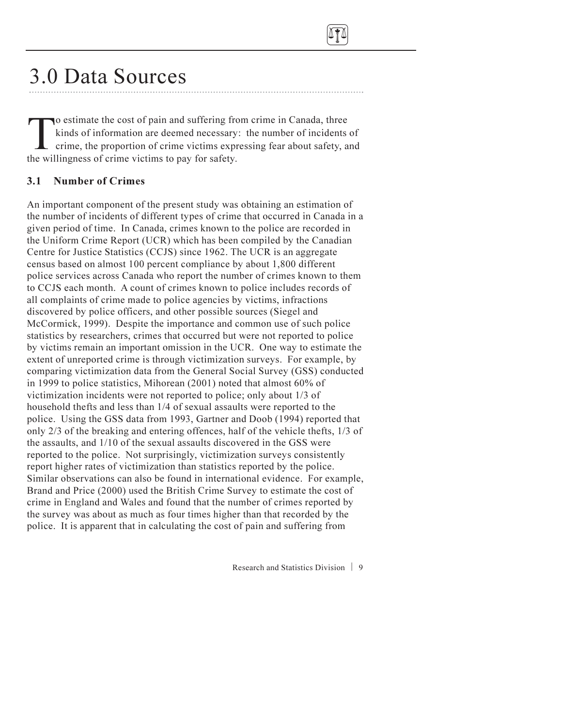

## 3.0 Data Sources

To estimate the cost of pain and suffering from crime in Canada, three<br>kinds of information are deemed necessary: the number of incidents<br>crime, the proportion of crime victims expressing fear about safety, a<br>the willingne kinds of information are deemed necessary: the number of incidents of crime, the proportion of crime victims expressing fear about safety, and the willingness of crime victims to pay for safety.

#### 3.1 Number of Crimes

An important component of the present study was obtaining an estimation of the number of incidents of different types of crime that occurred in Canada in a given period of time. In Canada, crimes known to the police are recorded in the Uniform Crime Report (UCR) which has been compiled by the Canadian Centre for Justice Statistics (CCJS) since 1962. The UCR is an aggregate census based on almost 100 percent compliance by about 1,800 different police services across Canada who report the number of crimes known to them to CCJS each month. A count of crimes known to police includes records of all complaints of crime made to police agencies by victims, infractions discovered by police officers, and other possible sources (Siegel and McCormick, 1999). Despite the importance and common use of such police statistics by researchers, crimes that occurred but were not reported to police by victims remain an important omission in the UCR. One way to estimate the extent of unreported crime is through victimization surveys. For example, by comparing victimization data from the General Social Survey (GSS) conducted in 1999 to police statistics, Mihorean (2001) noted that almost 60% of victimization incidents were not reported to police; only about 1/3 of household thefts and less than 1/4 of sexual assaults were reported to the police. Using the GSS data from 1993, Gartner and Doob (1994) reported that only 2/3 of the breaking and entering offences, half of the vehicle thefts, 1/3 of the assaults, and 1/10 of the sexual assaults discovered in the GSS were reported to the police. Not surprisingly, victimization surveys consistently report higher rates of victimization than statistics reported by the police. Similar observations can also be found in international evidence. For example, Brand and Price (2000) used the British Crime Survey to estimate the cost of crime in England and Wales and found that the number of crimes reported by the survey was about as much as four times higher than that recorded by the police. It is apparent that in calculating the cost of pain and suffering from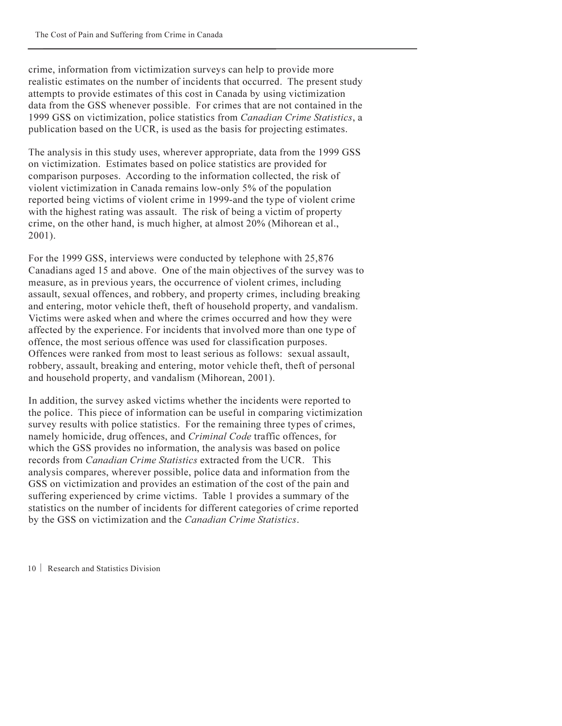crime, information from victimization surveys can help to provide more realistic estimates on the number of incidents that occurred. The present study attempts to provide estimates of this cost in Canada by using victimization data from the GSS whenever possible. For crimes that are not contained in the 1999 GSS on victimization, police statistics from *Canadian Crime Statistics*, a publication based on the UCR, is used as the basis for projecting estimates.

The analysis in this study uses, wherever appropriate, data from the 1999 GSS on victimization. Estimates based on police statistics are provided for comparison purposes. According to the information collected, the risk of violent victimization in Canada remains low-only 5% of the population reported being victims of violent crime in 1999-and the type of violent crime with the highest rating was assault. The risk of being a victim of property crime, on the other hand, is much higher, at almost 20% (Mihorean et al., 2001).

For the 1999 GSS, interviews were conducted by telephone with 25,876 Canadians aged 15 and above. One of the main objectives of the survey was to measure, as in previous years, the occurrence of violent crimes, including assault, sexual offences, and robbery, and property crimes, including breaking and entering, motor vehicle theft, theft of household property, and vandalism. Victims were asked when and where the crimes occurred and how they were affected by the experience. For incidents that involved more than one type of offence, the most serious offence was used for classification purposes. Offences were ranked from most to least serious as follows: sexual assault, robbery, assault, breaking and entering, motor vehicle theft, theft of personal and household property, and vandalism (Mihorean, 2001).

In addition, the survey asked victims whether the incidents were reported to the police. This piece of information can be useful in comparing victimization survey results with police statistics. For the remaining three types of crimes, namely homicide, drug offences, and *Criminal Code* traffic offences, for which the GSS provides no information, the analysis was based on police records from *Canadian Crime Statistics* extracted from the UCR. This analysis compares, wherever possible, police data and information from the GSS on victimization and provides an estimation of the cost of the pain and suffering experienced by crime victims. Table 1 provides a summary of the statistics on the number of incidents for different categories of crime reported by the GSS on victimization and the Canadian Crime Statistics.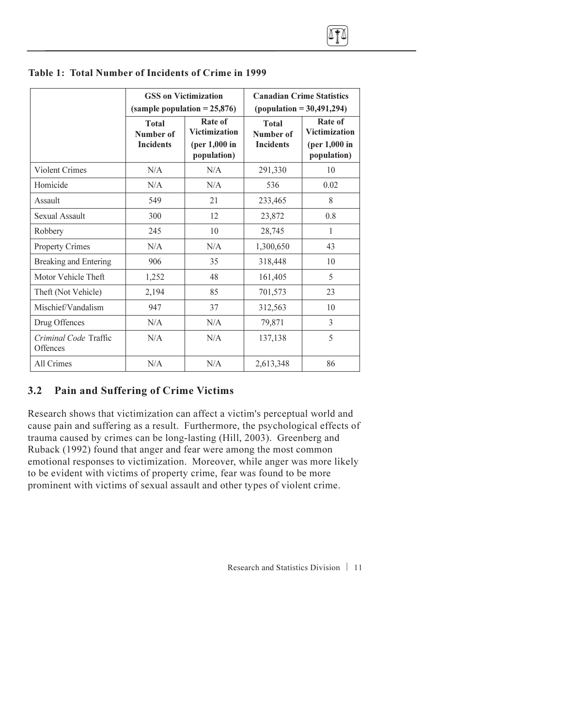|                                   | <b>GSS</b> on Victimization<br>(sample population $= 25,876$ ) |                                                                   | <b>Canadian Crime Statistics</b><br>$(population = 30,491,294)$ |                                                                   |  |
|-----------------------------------|----------------------------------------------------------------|-------------------------------------------------------------------|-----------------------------------------------------------------|-------------------------------------------------------------------|--|
|                                   | <b>Total</b><br>Number of<br><b>Incidents</b>                  | Rate of<br><b>Victimization</b><br>(per $1,000$ in<br>population) | <b>Total</b><br>Number of<br><b>Incidents</b>                   | Rate of<br><b>Victimization</b><br>(per $1,000$ in<br>population) |  |
| Violent Crimes                    | N/A                                                            | N/A                                                               | 291,330                                                         | 10                                                                |  |
| Homicide                          | N/A                                                            | N/A                                                               | 536                                                             | 0.02                                                              |  |
| Assault                           | 549                                                            | 21                                                                | 233,465                                                         | 8                                                                 |  |
| Sexual Assault                    | 300                                                            | 12                                                                | 23,872                                                          | 0.8                                                               |  |
| Robbery                           | 245                                                            | 10                                                                | 28,745                                                          | 1                                                                 |  |
| <b>Property Crimes</b>            | N/A                                                            | N/A                                                               | 1,300,650                                                       | 43                                                                |  |
| Breaking and Entering             | 906                                                            | 35                                                                | 318,448                                                         | 10                                                                |  |
| Motor Vehicle Theft               | 1,252                                                          | 48                                                                | 161,405                                                         | 5                                                                 |  |
| Theft (Not Vehicle)               | 2,194                                                          | 85                                                                | 701,573                                                         | 23                                                                |  |
| Mischief/Vandalism                | 947                                                            | 37                                                                | 312,563                                                         | 10                                                                |  |
| Drug Offences                     | N/A                                                            | N/A                                                               | 79,871                                                          | 3                                                                 |  |
| Criminal Code Traffic<br>Offences | N/A                                                            | N/A                                                               | 137,138                                                         | 5                                                                 |  |
| All Crimes                        | N/A                                                            | N/A                                                               | 2,613,348                                                       | 86                                                                |  |

#### <span id="page-17-0"></span>Table 1: Total Number of Incidents of Crime in 1999

#### 3.2 Pain and Suffering of Crime Victims

Research shows that victimization can affect a victim's perceptual world and cause pain and suffering as a result. Furthermore, the psychological effects of trauma caused by crimes can be long-lasting (Hill, 2003). Greenberg and Ruback (1992) found that anger and fear were among the most common emotional responses to victimization. Moreover, while anger was more likely to be evident with victims of property crime, fear was found to be more prominent with victims of sexual assault and other types of violent crime.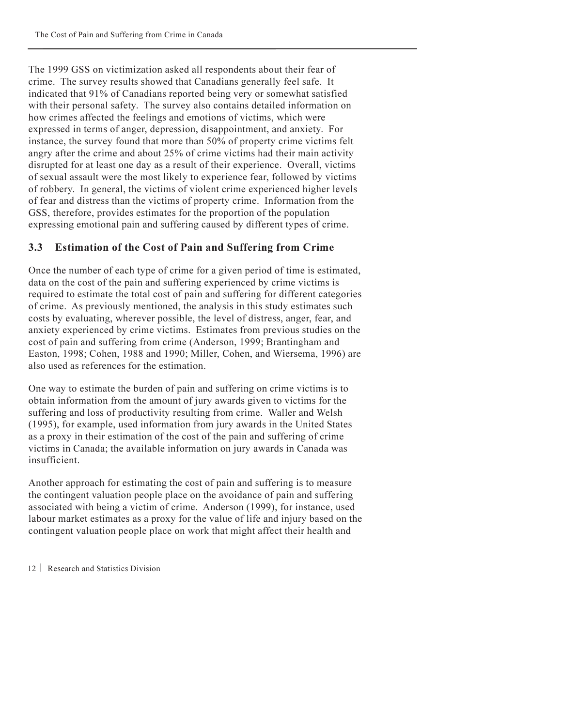The 1999 GSS on victimization asked all respondents about their fear of crime. The survey results showed that Canadians generally feel safe. It indicated that 91% of Canadians reported being very or somewhat satisfied with their personal safety. The survey also contains detailed information on how crimes affected the feelings and emotions of victims, which were expressed in terms of anger, depression, disappointment, and anxiety. For instance, the survey found that more than 50% of property crime victims felt angry after the crime and about 25% of crime victims had their main activity disrupted for at least one day as a result of their experience. Overall, victims of sexual assault were the most likely to experience fear, followed by victims of robbery. In general, the victims of violent crime experienced higher levels of fear and distress than the victims of property crime. Information from the GSS, therefore, provides estimates for the proportion of the population expressing emotional pain and suffering caused by different types of crime.

### 3.3 Estimation of the Cost of Pain and Suffering from Crime

Once the number of each type of crime for a given period of time is estimated, data on the cost of the pain and suffering experienced by crime victims is required to estimate the total cost of pain and suffering for different categories of crime. As previously mentioned, the analysis in this study estimates such costs by evaluating, wherever possible, the level of distress, anger, fear, and anxiety experienced by crime victims. Estimates from previous studies on the cost of pain and suffering from crime (Anderson, 1999; Brantingham and Easton, 1998; Cohen, 1988 and 1990; Miller, Cohen, and Wiersema, 1996) are also used as references for the estimation.

One way to estimate the burden of pain and suffering on crime victims is to obtain information from the amount of jury awards given to victims for the suffering and loss of productivity resulting from crime. Waller and Welsh (1995), for example, used information from jury awards in the United States as a proxy in their estimation of the cost of the pain and suffering of crime victims in Canada; the available information on jury awards in Canada was insufficient.

Another approach for estimating the cost of pain and suffering is to measure the contingent valuation people place on the avoidance of pain and suffering associated with being a victim of crime. Anderson (1999), for instance, used labour market estimates as a proxy for the value of life and injury based on the contingent valuation people place on work that might affect their health and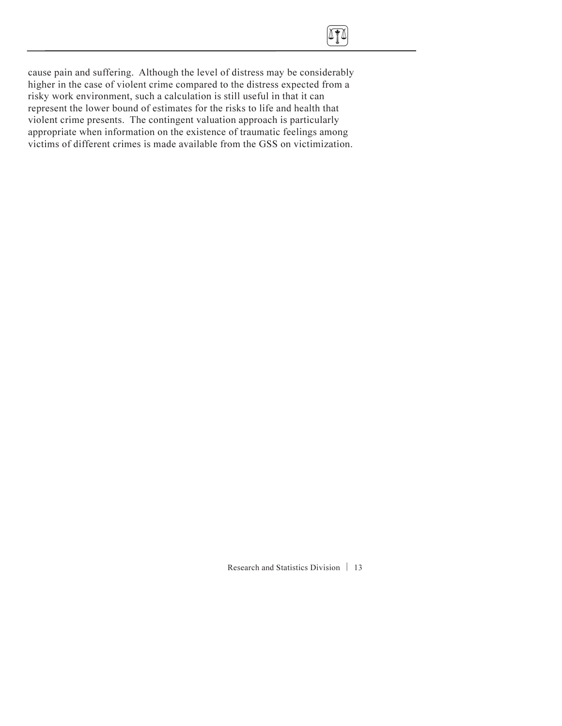<span id="page-19-0"></span>

cause pain and suffering. Although the level of distress may be considerably higher in the case of violent crime compared to the distress expected from a risky work environment, such a calculation is still useful in that it can represent the lower bound of estimates for the risks to life and health that violent crime presents. The contingent valuation approach is particularly appropriate when information on the existence of traumatic feelings among victims of different crimes is made available from the GSS on victimization.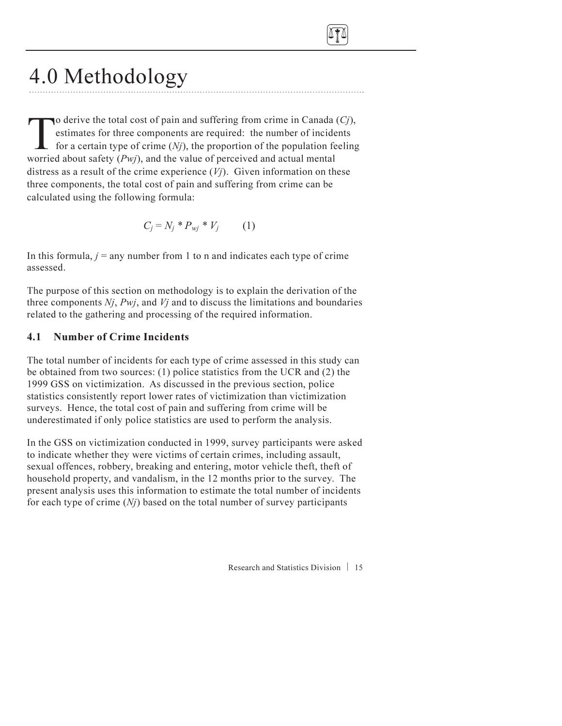<span id="page-20-0"></span>

# 4.0 Methodology

To derive the total cost of pain and suffering from crime in Canada (Cj),<br>estimates for three components are required: the number of incidents<br>for a certain type of crime (Nj), the proportion of the population feeling<br>wor estimates for three components are required: the number of incidents for a certain type of crime  $(Nj)$ , the proportion of the population feeling worried about safety  $(Pw_i)$ , and the value of perceived and actual mental distress as a result of the crime experience  $(V<sub>j</sub>)$ . Given information on these three components, the total cost of pain and suffering from crime can be calculated using the following formula:

$$
C_j = N_j * P_{wi} * V_j \qquad (1)
$$

In this formula,  $j = any$  number from 1 to n and indicates each type of crime assessed.

The purpose of this section on methodology is to explain the derivation of the three components  $N_i$ ,  $Pwi$ , and  $Vi$  and to discuss the limitations and boundaries related to the gathering and processing of the required information.

### 4.1 Number of Crime Incidents

The total number of incidents for each type of crime assessed in this study can be obtained from two sources: (1) police statistics from the UCR and (2) the 1999 GSS on victimization. As discussed in the previous section, police statistics consistently report lower rates of victimization than victimization surveys. Hence, the total cost of pain and suffering from crime will be underestimated if only police statistics are used to perform the analysis.

In the GSS on victimization conducted in 1999, survey participants were asked to indicate whether they were victims of certain crimes, including assault, sexual offences, robbery, breaking and entering, motor vehicle theft, theft of household property, and vandalism, in the 12 months prior to the survey. The present analysis uses this information to estimate the total number of incidents for each type of crime  $(N<sub>i</sub>)$  based on the total number of survey participants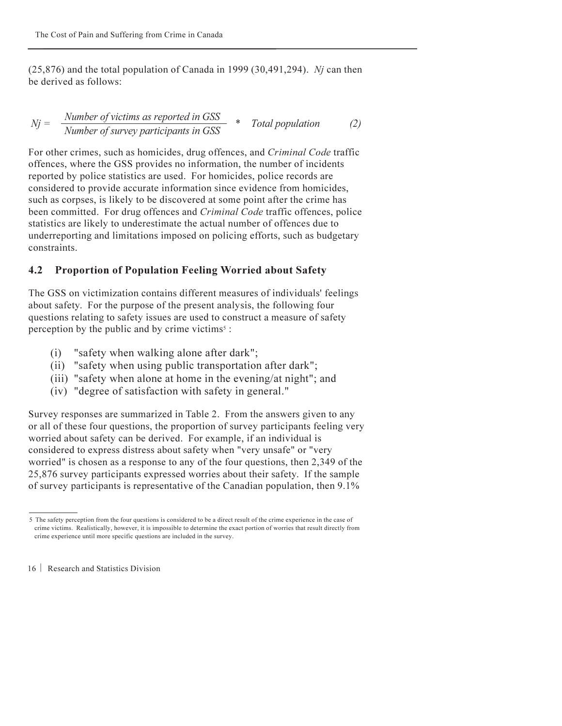$(25,876)$  and the total population of Canada in 1999 (30,491,294). Nj can then be derived as follows:

$$
Nj = \frac{Number\ of\ victimes as\ reported\ in\ GSS}{Number\ of\ survey\ participants\ in\ GSS} \quad * \quad Total\ population \tag{2}
$$

For other crimes, such as homicides, drug offences, and Criminal Code traffic offences, where the GSS provides no information, the number of incidents reported by police statistics are used. For homicides, police records are considered to provide accurate information since evidence from homicides, such as corpses, is likely to be discovered at some point after the crime has been committed. For drug offences and *Criminal Code* traffic offences, police statistics are likely to underestimate the actual number of offences due to underreporting and limitations imposed on policing efforts, such as budgetary constraints.

### 4.2 Proportion of Population Feeling Worried about Safety

The GSS on victimization contains different measures of individuals' feelings about safety. For the purpose of the present analysis, the following four questions relating to safety issues are used to construct a measure of safety perception by the public and by crime victims<sup> $5$ </sup>:

- (i) "safety when walking alone after dark";
- (ii) "safety when using public transportation after dark";
- (iii) "safety when alone at home in the evening/at night"; and
- (iv) "degree of satisfaction with safety in general."

Survey responses are summarized in Table 2. From the answers given to any or all of these four questions, the proportion of survey participants feeling very worried about safety can be derived. For example, if an individual is considered to express distress about safety when "very unsafe" or "very worried" is chosen as a response to any of the four questions, then 2,349 of the 25,876 survey participants expressed worries about their safety. If the sample of survey participants is representative of the Canadian population, then 9.1%

<sup>5</sup> The safety perception from the four questions is considered to be a direct result of the crime experience in the case of crime victims. Realistically, however, it is impossible to determine the exact portion of worries that result directly from crime experience until more specific questions are included in the survey.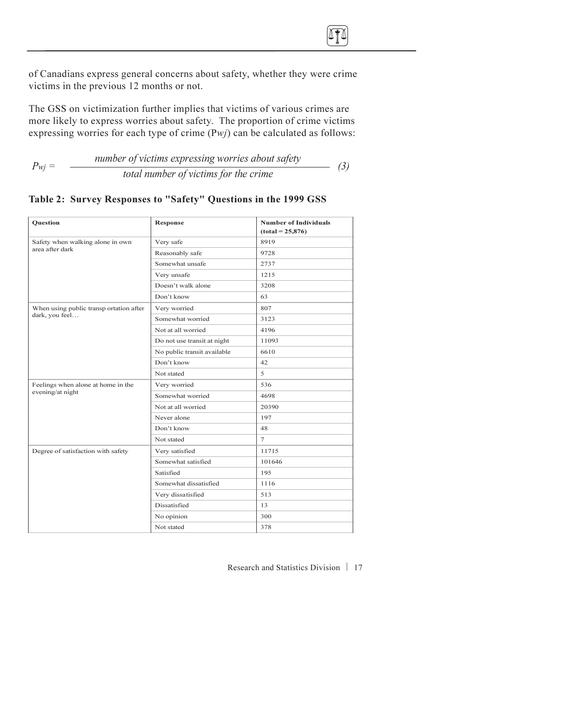

of Canadians express general concerns about safety, whether they were crime victims in the previous 12 months or not.

The GSS on victimization further implies that victims of various crimes are more likely to express worries about safety. The proportion of crime victims expressing worries for each type of crime  $(Pwj)$  can be calculated as follows:

 $P_{wi} =$  number of victims expressing worries about safety  $\frac{1}{\pi}$  total number of victims for the crime (3)

| <b>Ouestion</b>                         | <b>Response</b>             | <b>Number of Individuals</b><br>$(total = 25,876)$ |
|-----------------------------------------|-----------------------------|----------------------------------------------------|
| Safety when walking alone in own        | Very safe                   | 8919                                               |
| area after dark                         | Reasonably safe             | 9728                                               |
|                                         | Somewhat unsafe             | 2737                                               |
|                                         | Very unsafe                 | 1215                                               |
|                                         | Doesn't walk alone          | 3208                                               |
|                                         | Don't know                  | 63                                                 |
| When using public transp ortation after | Very worried                | 807                                                |
| dark, you feel                          | Somewhat worried            | 3123                                               |
|                                         | Not at all worried          | 4196                                               |
|                                         | Do not use transit at night | 11093                                              |
|                                         | No public transit available | 6610                                               |
|                                         | Don't know                  | 42                                                 |
|                                         | Not stated                  | 5                                                  |
| Feelings when alone at home in the      | Very worried                | 536                                                |
| evening/at night                        | Somewhat worried            | 4698                                               |
|                                         | Not at all worried          | 20390                                              |
|                                         | Never alone                 | 197                                                |
|                                         | Don't know                  | 48                                                 |
|                                         | Not stated                  | $\overline{7}$                                     |
| Degree of satisfaction with safety      | Very satisfied              | 11715                                              |
|                                         | Somewhat satisfied          | 101646                                             |
|                                         | Satisfied                   | 195                                                |
|                                         | Somewhat dissatisfied       | 1116                                               |
|                                         | Very dissatisfied           | 513                                                |
|                                         | Dissatisfied                | 13                                                 |
|                                         | No opinion                  | 300                                                |
|                                         | Not stated                  | 378                                                |

#### Table 2: Survey Responses to "Safety" Questions in the 1999 GSS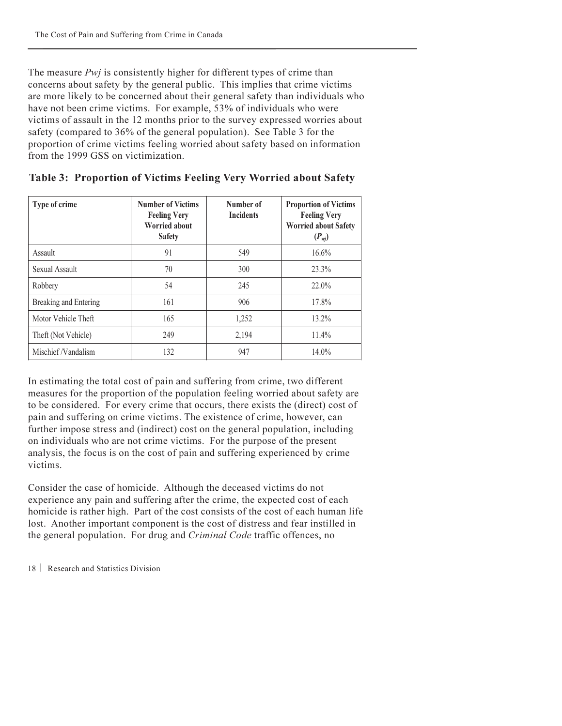<span id="page-23-0"></span>The measure *Pwj* is consistently higher for different types of crime than concerns about safety by the general public. This implies that crime victims are more likely to be concerned about their general safety than individuals who have not been crime victims. For example, 53% of individuals who were victims of assault in the 12 months prior to the survey expressed worries about safety (compared to 36% of the general population). See Table 3 for the proportion of crime victims feeling worried about safety based on information from the 1999 GSS on victimization.

| Type of crime         | <b>Number of Victims</b><br><b>Feeling Very</b><br><b>Worried about</b><br><b>Safety</b> | Number of<br><b>Incidents</b> | <b>Proportion of Victims</b><br><b>Feeling Very</b><br><b>Worried about Safety</b><br>$(P_{\text{wj}})$ |
|-----------------------|------------------------------------------------------------------------------------------|-------------------------------|---------------------------------------------------------------------------------------------------------|
| Assault               | 91                                                                                       | 549                           | $16.6\%$                                                                                                |
| Sexual Assault        | 70                                                                                       | 300                           | 23.3%                                                                                                   |
| Robbery               | 54                                                                                       | 245                           | 22.0%                                                                                                   |
| Breaking and Entering | 161                                                                                      | 906                           | 17.8%                                                                                                   |
| Motor Vehicle Theft   | 165                                                                                      | 1,252                         | $13.2\%$                                                                                                |
| Theft (Not Vehicle)   | 249                                                                                      | 2,194                         | 11.4%                                                                                                   |
| Mischief/Vandalism    | 132                                                                                      | 947                           | 14.0%                                                                                                   |

| Table 3: Proportion of Victims Feeling Very Worried about Safety |  |  |  |
|------------------------------------------------------------------|--|--|--|
|                                                                  |  |  |  |

In estimating the total cost of pain and suffering from crime, two different measures for the proportion of the population feeling worried about safety are to be considered. For every crime that occurs, there exists the (direct) cost of pain and suffering on crime victims. The existence of crime, however, can further impose stress and (indirect) cost on the general population, including on individuals who are not crime victims. For the purpose of the present analysis, the focus is on the cost of pain and suffering experienced by crime victims.

Consider the case of homicide. Although the deceased victims do not experience any pain and suffering after the crime, the expected cost of each homicide is rather high. Part of the cost consists of the cost of each human life lost. Another important component is the cost of distress and fear instilled in the general population. For drug and Criminal Code traffic offences, no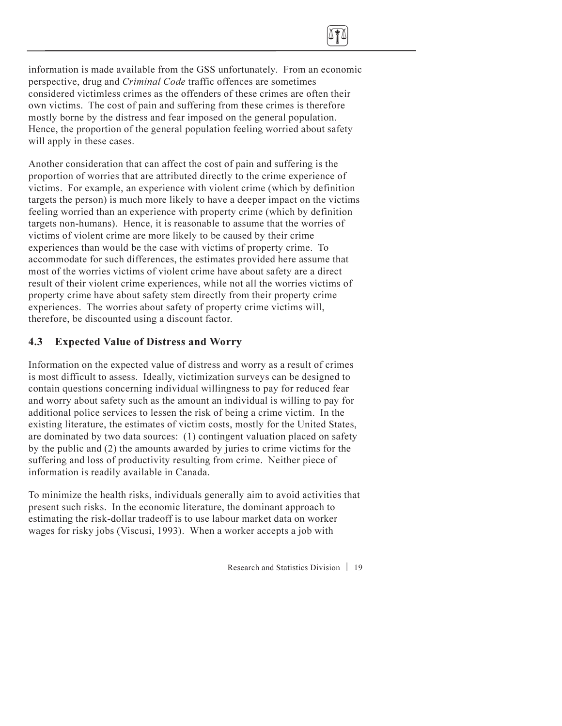<span id="page-24-0"></span>

information is made available from the GSS unfortunately. From an economic perspective, drug and Criminal Code traffic offences are sometimes considered victimless crimes as the offenders of these crimes are often their own victims. The cost of pain and suffering from these crimes is therefore mostly borne by the distress and fear imposed on the general population. Hence, the proportion of the general population feeling worried about safety will apply in these cases.

Another consideration that can affect the cost of pain and suffering is the proportion of worries that are attributed directly to the crime experience of victims. For example, an experience with violent crime (which by definition targets the person) is much more likely to have a deeper impact on the victims feeling worried than an experience with property crime (which by definition targets non-humans). Hence, it is reasonable to assume that the worries of victims of violent crime are more likely to be caused by their crime experiences than would be the case with victims of property crime. To accommodate for such differences, the estimates provided here assume that most of the worries victims of violent crime have about safety are a direct result of their violent crime experiences, while not all the worries victims of property crime have about safety stem directly from their property crime experiences. The worries about safety of property crime victims will, therefore, be discounted using a discount factor.

#### 4.3 Expected Value of Distress and Worry

Information on the expected value of distress and worry as a result of crimes is most difficult to assess. Ideally, victimization surveys can be designed to contain questions concerning individual willingness to pay for reduced fear and worry about safety such as the amount an individual is willing to pay for additional police services to lessen the risk of being a crime victim. In the existing literature, the estimates of victim costs, mostly for the United States, are dominated by two data sources: (1) contingent valuation placed on safety by the public and (2) the amounts awarded by juries to crime victims for the suffering and loss of productivity resulting from crime. Neither piece of information is readily available in Canada.

To minimize the health risks, individuals generally aim to avoid activities that present such risks. In the economic literature, the dominant approach to estimating the risk-dollar tradeoff is to use labour market data on worker wages for risky jobs (Viscusi, 1993). When a worker accepts a job with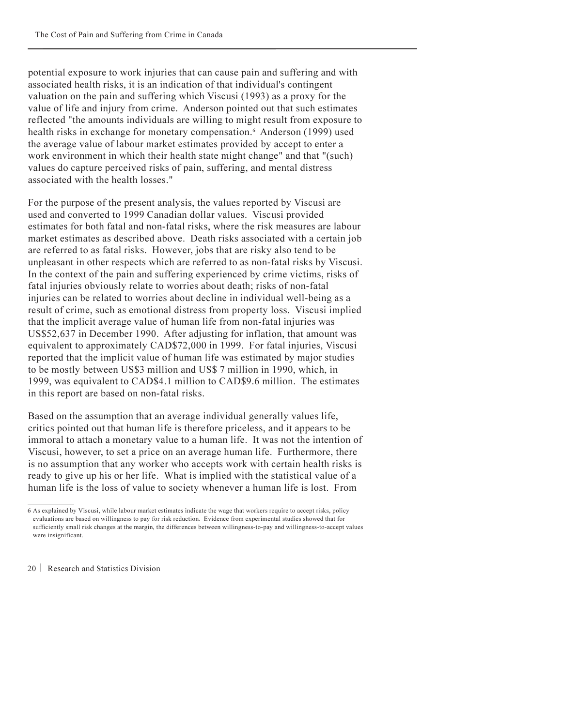potential exposure to work injuries that can cause pain and suffering and with associated health risks, it is an indication of that individual's contingent valuation on the pain and suffering which Viscusi (1993) as a proxy for the value of life and injury from crime. Anderson pointed out that such estimates reflected "the amounts individuals are willing to might result from exposure to health risks in exchange for monetary compensation.<sup>6</sup> Anderson (1999) used the average value of labour market estimates provided by accept to enter a work environment in which their health state might change" and that "(such) values do capture perceived risks of pain, suffering, and mental distress associated with the health losses."

For the purpose of the present analysis, the values reported by Viscusi are used and converted to 1999 Canadian dollar values. Viscusi provided estimates for both fatal and non-fatal risks, where the risk measures are labour market estimates as described above. Death risks associated with a certain job are referred to as fatal risks. However, jobs that are risky also tend to be unpleasant in other respects which are referred to as non-fatal risks by Viscusi. In the context of the pain and suffering experienced by crime victims, risks of fatal injuries obviously relate to worries about death; risks of non-fatal injuries can be related to worries about decline in individual well-being as a result of crime, such as emotional distress from property loss. Viscusi implied that the implicit average value of human life from non-fatal injuries was US\$52,637 in December 1990. After adjusting for inflation, that amount was equivalent to approximately CAD\$72,000 in 1999. For fatal injuries, Viscusi reported that the implicit value of human life was estimated by major studies to be mostly between US\$3 million and US\$ 7 million in 1990, which, in 1999, was equivalent to CAD\$4.1 million to CAD\$9.6 million. The estimates in this report are based on non-fatal risks.

Based on the assumption that an average individual generally values life, critics pointed out that human life is therefore priceless, and it appears to be immoral to attach a monetary value to a human life. It was not the intention of Viscusi, however, to set a price on an average human life. Furthermore, there is no assumption that any worker who accepts work with certain health risks is ready to give up his or her life. What is implied with the statistical value of a human life is the loss of value to society whenever a human life is lost. From

<sup>6</sup> As explained by Viscusi, while labour market estimates indicate the wage that workers require to accept risks, policy evaluations are based on willingness to pay for risk reduction. Evidence from experimental studies showed that for sufficiently small risk changes at the margin, the differences between willingness-to-pay and willingness-to-accept values were insignificant.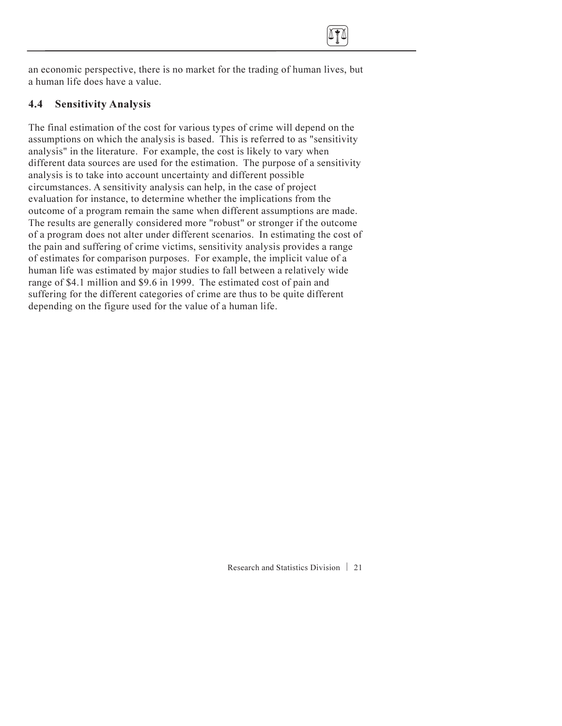

an economic perspective, there is no market for the trading of human lives, but a human life does have a value.

#### 4.4 Sensitivity Analysis

The final estimation of the cost for various types of crime will depend on the assumptions on which the analysis is based. This is referred to as "sensitivity analysis" in the literature. For example, the cost is likely to vary when different data sources are used for the estimation. The purpose of a sensitivity analysis is to take into account uncertainty and different possible circumstances. A sensitivity analysis can help, in the case of project evaluation for instance, to determine whether the implications from the outcome of a program remain the same when different assumptions are made. The results are generally considered more "robust" or stronger if the outcome of a program does not alter under different scenarios. In estimating the cost of the pain and suffering of crime victims, sensitivity analysis provides a range of estimates for comparison purposes. For example, the implicit value of a human life was estimated by major studies to fall between a relatively wide range of \$4.1 million and \$9.6 in 1999. The estimated cost of pain and suffering for the different categories of crime are thus to be quite different depending on the figure used for the value of a human life.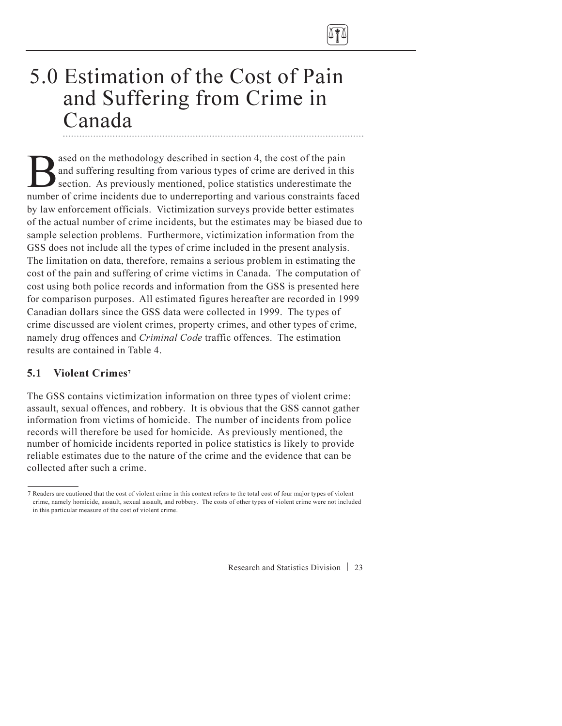<span id="page-27-0"></span>

### 5.0 Estimation of the Cost of Pain and Suffering from Crime in Canada

ased on the methodology described in section 4, the cost of the pain<br>and suffering resulting from various types of crime are derived in the<br>section. As previously mentioned, police statistics underestimate the<br>number of cr and suffering resulting from various types of crime are derived in this section. As previously mentioned, police statistics underestimate the number of crime incidents due to underreporting and various constraints faced by law enforcement officials. Victimization surveys provide better estimates of the actual number of crime incidents, but the estimates may be biased due to sample selection problems. Furthermore, victimization information from the GSS does not include all the types of crime included in the present analysis. The limitation on data, therefore, remains a serious problem in estimating the cost of the pain and suffering of crime victims in Canada. The computation of cost using both police records and information from the GSS is presented here for comparison purposes. All estimated figures hereafter are recorded in 1999 Canadian dollars since the GSS data were collected in 1999. The types of crime discussed are violent crimes, property crimes, and other types of crime, namely drug offences and Criminal Code traffic offences. The estimation results are contained in Table 4.

#### 5.1 Violent Crimes7

The GSS contains victimization information on three types of violent crime: assault, sexual offences, and robbery. It is obvious that the GSS cannot gather information from victims of homicide. The number of incidents from police records will therefore be used for homicide. As previously mentioned, the number of homicide incidents reported in police statistics is likely to provide reliable estimates due to the nature of the crime and the evidence that can be collected after such a crime.

<sup>7</sup> Readers are cautioned that the cost of violent crime in this context refers to the total cost of four major types of violent crime, namely homicide, assault, sexual assault, and robbery. The costs of other types of violent crime were not included in this particular measure of the cost of violent crime.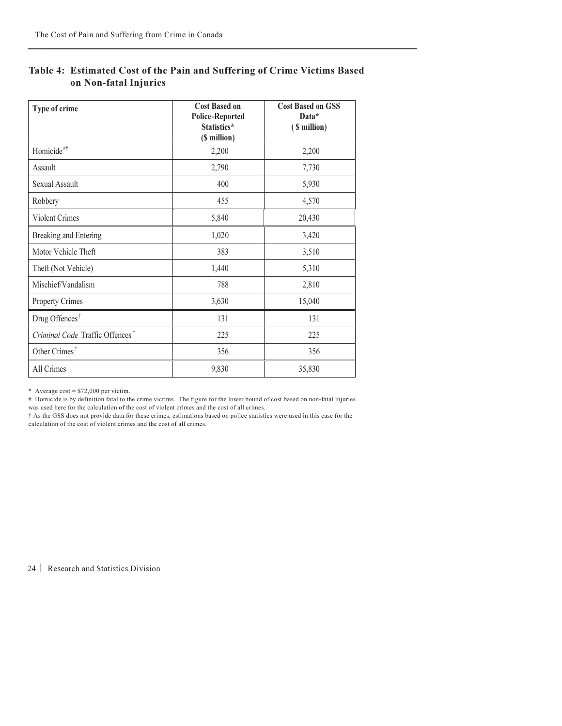| Type of crime                               | <b>Cost Based on</b><br><b>Police-Reported</b><br>Statistics*<br>(\$ million) | <b>Cost Based on GSS</b><br>Data*<br>(\$ million) |
|---------------------------------------------|-------------------------------------------------------------------------------|---------------------------------------------------|
| Homicide <sup>#†</sup>                      | 2,200                                                                         | 2,200                                             |
| Assault                                     | 2,790                                                                         | 7,730                                             |
| Sexual Assault                              | 400                                                                           | 5,930                                             |
| Robbery                                     | 455                                                                           | 4,570                                             |
| <b>Violent Crimes</b>                       | 5,840                                                                         | 20,430                                            |
| <b>Breaking and Entering</b>                | 1,020                                                                         | 3,420                                             |
| Motor Vehicle Theft                         | 383                                                                           | 3,510                                             |
| Theft (Not Vehicle)                         | 1,440                                                                         | 5,310                                             |
| Mischief/Vandalism                          | 788                                                                           | 2,810                                             |
| <b>Property Crimes</b>                      | 3,630                                                                         | 15,040                                            |
| Drug Offences <sup>†</sup>                  | 131                                                                           | 131                                               |
| Criminal Code Traffic Offences <sup>†</sup> | 225                                                                           | 225                                               |
| Other Crimes <sup>†</sup>                   | 356                                                                           | 356                                               |
| All Crimes                                  | 9,830                                                                         | 35,830                                            |

#### Table 4: Estimated Cost of the Pain and Suffering of Crime Victims Based on Non-fatal Injuries

\* Average cost =  $$72,000$  per victim.

# Homicide is by definition fatal to the crime victims. The figure for the lower bound of cost based on non-fatal injuries was used here for the calculation of the cost of violent crimes and the cost of all crimes.

† As the GSS does not provide data for these crimes, estimations based on police statistics were used in this case for the calculation of the cost of violent crimes and the cost of all crimes.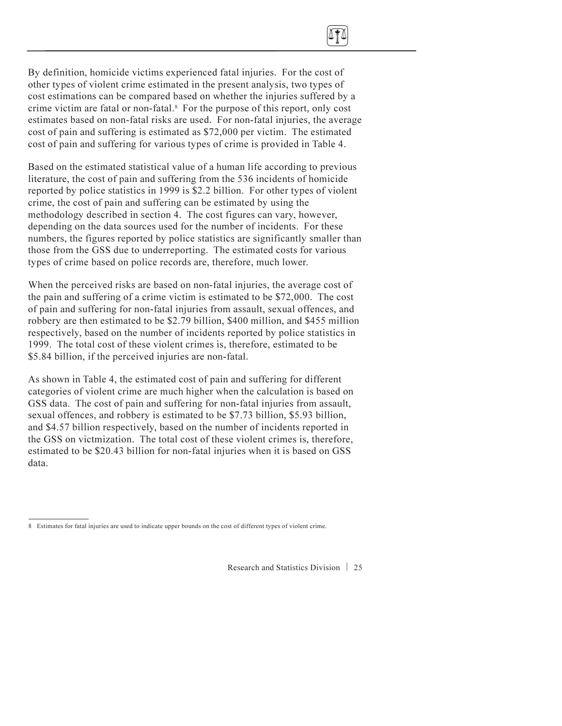

<span id="page-29-0"></span>Based on the estimated statistical value of a human life according to previous literature, the cost of pain and suffering from the 536 incidents of homicide reported by police statistics in 1999 is \$2.2 billion. For other types of violent crime, the cost of pain and suffering can be estimated by using the methodology described in section 4. The cost figures can vary, however, depending on the data sources used for the number of incidents. For these numbers, the figures reported by police statistics are significantly smaller than those from the GSS due to underreporting. The estimated costs for various types of crime based on police records are, therefore, much lower.

When the perceived risks are based on non-fatal injuries, the average cost of the pain and suffering of a crime victim is estimated to be \$72,000. The cost of pain and suffering for non-fatal injuries from assault, sexual offences, and robbery are then estimated to be \$2.79 billion, \$400 million, and \$455 million respectively, based on the number of incidents reported by police statistics in 1999. The total cost of these violent crimes is, therefore, estimated to be \$5.84 billion, if the perceived injuries are non-fatal.

As shown in Table 4, the estimated cost of pain and suffering for different categories of violent crime are much higher when the calculation is based on GSS data. The cost of pain and suffering for non-fatal injuries from assault, sexual offences, and robbery is estimated to be \$7.73 billion, \$5.93 billion, and \$4.57 billion respectively, based on the number of incidents reported in the GSS on victmization. The total cost of these violent crimes is, therefore, estimated to be \$20.43 billion for non-fatal injuries when it is based on GSS data.

<sup>8</sup> Estimates for fatal injuries are used to indicate upper bounds on the cost of different types of violent crime.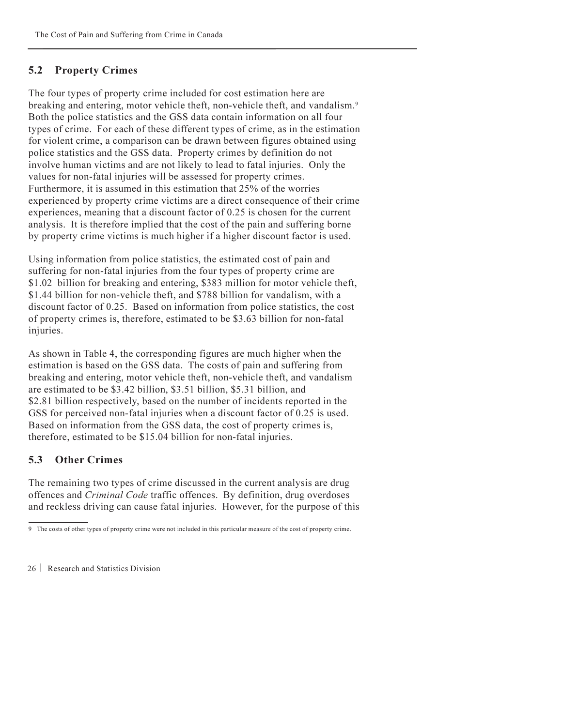#### 5.2 Property Crimes

The four types of property crime included for cost estimation here are breaking and entering, motor vehicle theft, non-vehicle theft, and vandalism.<sup>9</sup> Both the police statistics and the GSS data contain information on all four types of crime. For each of these different types of crime, as in the estimation for violent crime, a comparison can be drawn between figures obtained using police statistics and the GSS data. Property crimes by definition do not involve human victims and are not likely to lead to fatal injuries. Only the values for non-fatal injuries will be assessed for property crimes. Furthermore, it is assumed in this estimation that 25% of the worries experienced by property crime victims are a direct consequence of their crime experiences, meaning that a discount factor of 0.25 is chosen for the current analysis. It is therefore implied that the cost of the pain and suffering borne by property crime victims is much higher if a higher discount factor is used.

Using information from police statistics, the estimated cost of pain and suffering for non-fatal injuries from the four types of property crime are \$1.02 billion for breaking and entering, \$383 million for motor vehicle theft, \$1.44 billion for non-vehicle theft, and \$788 billion for vandalism, with a discount factor of 0.25. Based on information from police statistics, the cost of property crimes is, therefore, estimated to be \$3.63 billion for non-fatal iniuries.

As shown in Table 4, the corresponding figures are much higher when the estimation is based on the GSS data. The costs of pain and suffering from breaking and entering, motor vehicle theft, non-vehicle theft, and vandalism are estimated to be \$3.42 billion, \$3.51 billion, \$5.31 billion, and \$2.81 billion respectively, based on the number of incidents reported in the GSS for perceived non-fatal injuries when a discount factor of 0.25 is used. Based on information from the GSS data, the cost of property crimes is, therefore, estimated to be \$15.04 billion for non-fatal injuries.

### 5.3 Other Crimes

The remaining two types of crime discussed in the current analysis are drug offences and *Criminal Code* traffic offences. By definition, drug overdoses and reckless driving can cause fatal injuries. However, for the purpose of this

<sup>9</sup> The costs of other types of property crime were not included in this particular measure of the cost of property crime.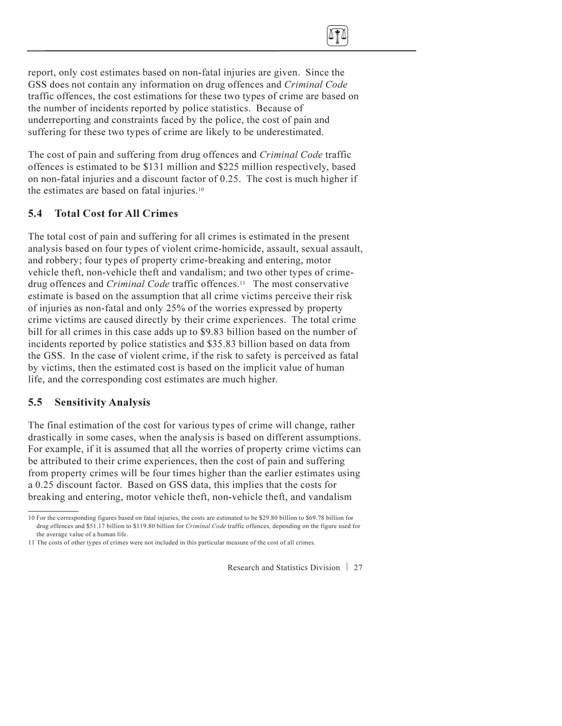<span id="page-31-0"></span>report, only cost estimates based on non-fatal injuries are given. Since the GSS does not contain any information on drug offences and *Criminal Code* traffic offences, the cost estimations for these two types of crime are based on the number of incidents reported by police statistics. Because of underreporting and constraints faced by the police, the cost of pain and suffering for these two types of crime are likely to be underestimated.

The cost of pain and suffering from drug offences and Criminal Code traffic offences is estimated to be \$131 million and \$225 million respectively, based on non-fatal injuries and a discount factor of 0.25. The cost is much higher if the estimates are based on fatal injuries.10

### 5.4 Total Cost for All Crimes

The total cost of pain and suffering for all crimes is estimated in the present analysis based on four types of violent crime-homicide, assault, sexual assault, and robbery; four types of property crime-breaking and entering, motor vehicle theft, non-vehicle theft and vandalism; and two other types of crimedrug offences and Criminal Code traffic offences.11 The most conservative estimate is based on the assumption that all crime victims perceive their risk of injuries as non-fatal and only 25% of the worries expressed by property crime victims are caused directly by their crime experiences. The total crime bill for all crimes in this case adds up to \$9.83 billion based on the number of incidents reported by police statistics and \$35.83 billion based on data from the GSS. In the case of violent crime, if the risk to safety is perceived as fatal by victims, then the estimated cost is based on the implicit value of human life, and the corresponding cost estimates are much higher.

### 5.5 Sensitivity Analysis

The final estimation of the cost for various types of crime will change, rather drastically in some cases, when the analysis is based on different assumptions. For example, if it is assumed that all the worries of property crime victims can be attributed to their crime experiences, then the cost of pain and suffering from property crimes will be four times higher than the earlier estimates using a 0.25 discount factor. Based on GSS data, this implies that the costs for breaking and entering, motor vehicle theft, non-vehicle theft, and vandalism

<sup>10</sup> For the corresponding figures based on fatal injuries, the costs are estimated to be \$29.80 billion to \$69.78 billion for drug offences and \$51.17 billion to \$119.80 billion for Criminal Code traffic offences, depending on the figure used for the average value of a human life.

<sup>11</sup> The costs of other types of crimes were not included in this particular measure of the cost of all crimes.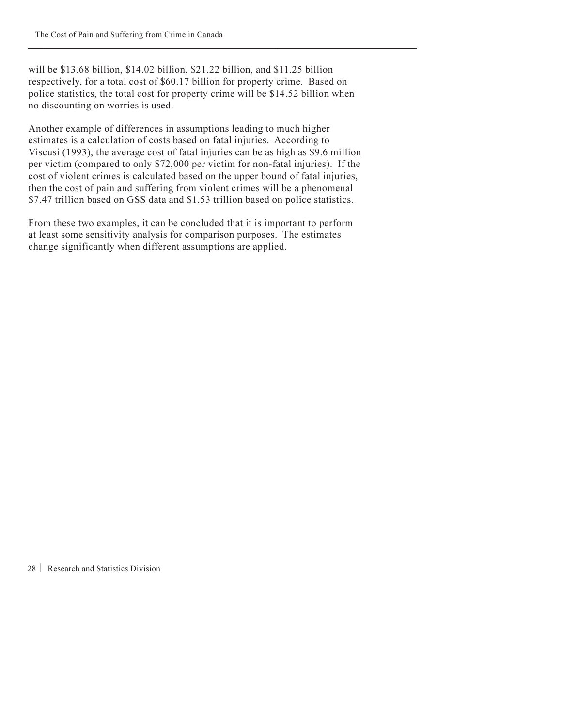will be \$13.68 billion, \$14.02 billion, \$21.22 billion, and \$11.25 billion respectively, for a total cost of \$60.17 billion for property crime. Based on police statistics, the total cost for property crime will be \$14.52 billion when no discounting on worries is used.

Another example of differences in assumptions leading to much higher estimates is a calculation of costs based on fatal injuries. According to Viscusi (1993), the average cost of fatal injuries can be as high as \$9.6 million per victim (compared to only \$72,000 per victim for non-fatal injuries). If the cost of violent crimes is calculated based on the upper bound of fatal injuries, then the cost of pain and suffering from violent crimes will be a phenomenal \$7.47 trillion based on GSS data and \$1.53 trillion based on police statistics.

From these two examples, it can be concluded that it is important to perform at least some sensitivity analysis for comparison purposes. The estimates change significantly when different assumptions are applied.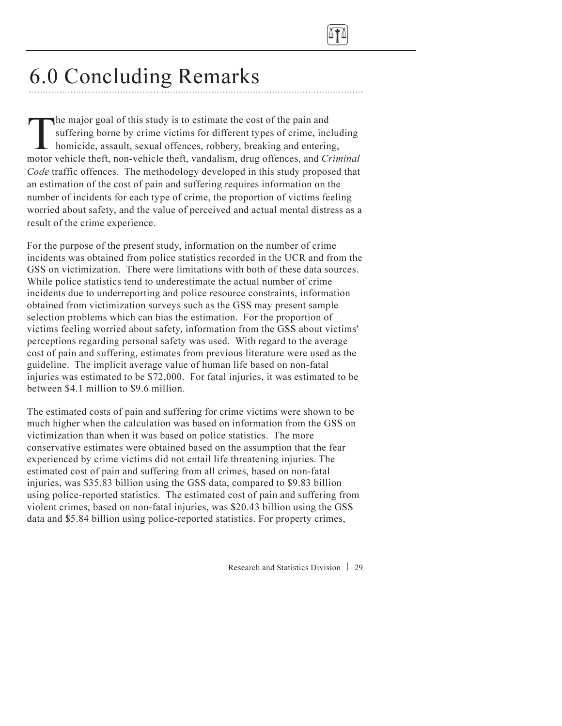

## 6.0 Concluding Remarks

The major goal of this study is to estimate the cost of the pain and<br>suffering borne by crime victims for different types of crime, inc<br>homicide, assault, sexual offences, robbery, breaking and enterir<br>motor vehicle theft suffering borne by crime victims for different types of crime, including homicide, assault, sexual offences, robbery, breaking and entering, motor vehicle theft, non-vehicle theft, vandalism, drug offences, and Criminal Code traffic offences. The methodology developed in this study proposed that an estimation of the cost of pain and suffering requires information on the number of incidents for each type of crime, the proportion of victims feeling worried about safety, and the value of perceived and actual mental distress as a result of the crime experience.

For the purpose of the present study, information on the number of crime incidents was obtained from police statistics recorded in the UCR and from the GSS on victimization. There were limitations with both of these data sources. While police statistics tend to underestimate the actual number of crime incidents due to underreporting and police resource constraints, information obtained from victimization surveys such as the GSS may present sample selection problems which can bias the estimation. For the proportion of victims feeling worried about safety, information from the GSS about victims' perceptions regarding personal safety was used. With regard to the average cost of pain and suffering, estimates from previous literature were used as the guideline. The implicit average value of human life based on non-fatal injuries was estimated to be \$72,000. For fatal injuries, it was estimated to be between \$4.1 million to \$9.6 million.

The estimated costs of pain and suffering for crime victims were shown to be much higher when the calculation was based on information from the GSS on victimization than when it was based on police statistics. The more conservative estimates were obtained based on the assumption that the fear experienced by crime victims did not entail life threatening injuries. The estimated cost of pain and suffering from all crimes, based on non-fatal injuries, was \$35.83 billion using the GSS data, compared to \$9.83 billion using police-reported statistics. The estimated cost of pain and suffering from violent crimes, based on non-fatal injuries, was \$20.43 billion using the GSS data and \$5.84 billion using police-reported statistics. For property crimes,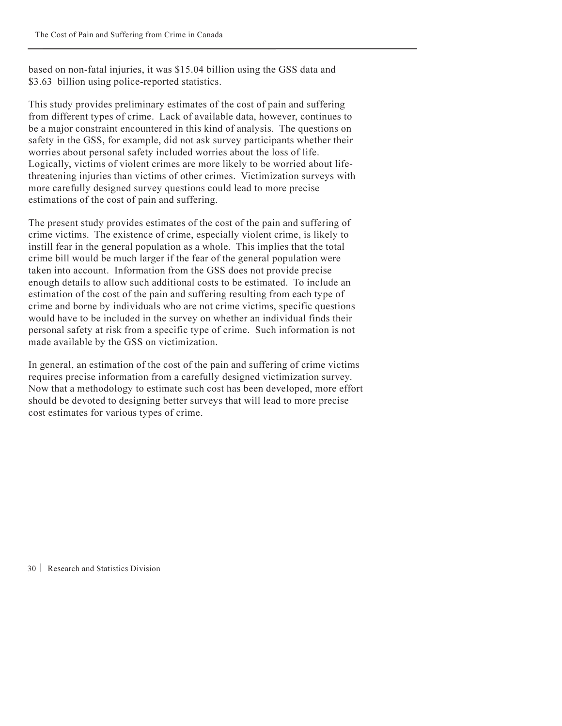<span id="page-34-0"></span>based on non-fatal injuries, it was \$15.04 billion using the GSS data and \$3.63 billion using police-reported statistics.

This study provides preliminary estimates of the cost of pain and suffering from different types of crime. Lack of available data, however, continues to be a major constraint encountered in this kind of analysis. The questions on safety in the GSS, for example, did not ask survey participants whether their worries about personal safety included worries about the loss of life. Logically, victims of violent crimes are more likely to be worried about lifethreatening injuries than victims of other crimes. Victimization surveys with more carefully designed survey questions could lead to more precise estimations of the cost of pain and suffering.

The present study provides estimates of the cost of the pain and suffering of crime victims. The existence of crime, especially violent crime, is likely to instill fear in the general population as a whole. This implies that the total crime bill would be much larger if the fear of the general population were taken into account. Information from the GSS does not provide precise enough details to allow such additional costs to be estimated. To include an estimation of the cost of the pain and suffering resulting from each type of crime and borne by individuals who are not crime victims, specific questions would have to be included in the survey on whether an individual finds their personal safety at risk from a specific type of crime. Such information is not made available by the GSS on victimization.

In general, an estimation of the cost of the pain and suffering of crime victims requires precise information from a carefully designed victimization survey. Now that a methodology to estimate such cost has been developed, more effort should be devoted to designing better surveys that will lead to more precise cost estimates for various types of crime.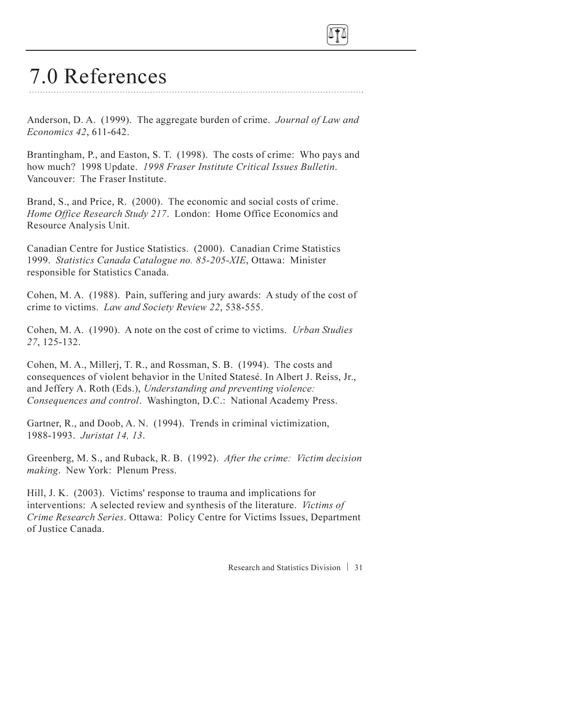<span id="page-35-0"></span>

## 7.0 References

Anderson, D. A. (1999). The aggregate burden of crime. Journal of Law and Economics 42, 611-642.

Brantingham, P., and Easton, S. T. (1998). The costs of crime: Who pays and how much? 1998 Update. 1998 Fraser Institute Critical Issues Bulletin. Vancouver: The Fraser Institute.

Brand, S., and Price, R. (2000). The economic and social costs of crime. Home Office Research Study 217. London: Home Office Economics and Resource Analysis Unit.

Canadian Centre for Justice Statistics. (2000). Canadian Crime Statistics 1999. Statistics Canada Catalogue no. 85-205-XIE, Ottawa: Minister responsible for Statistics Canada.

Cohen, M. A. (1988). Pain, suffering and jury awards: A study of the cost of crime to victims. Law and Society Review 22, 538-555.

Cohen, M. A. (1990). A note on the cost of crime to victims. Urban Studies 27, 125-132.

Cohen, M. A., Millerj, T. R., and Rossman, S. B. (1994). The costs and consequences of violent behavior in the United Statesé. In Albert J. Reiss, Jr., and Jeffery A. Roth (Eds.), Understanding and preventing violence: Consequences and control. Washington, D.C.: National Academy Press.

Gartner, R., and Doob, A. N. (1994). Trends in criminal victimization, 1988-1993. Juristat 14, 13.

Greenberg, M. S., and Ruback, R. B. (1992). After the crime: Victim decision making. New York: Plenum Press.

Hill, J. K. (2003). Victims' response to trauma and implications for interventions: A selected review and synthesis of the literature. Victims of Crime Research Series. Ottawa: Policy Centre for Victims Issues, Department of Justice Canada.